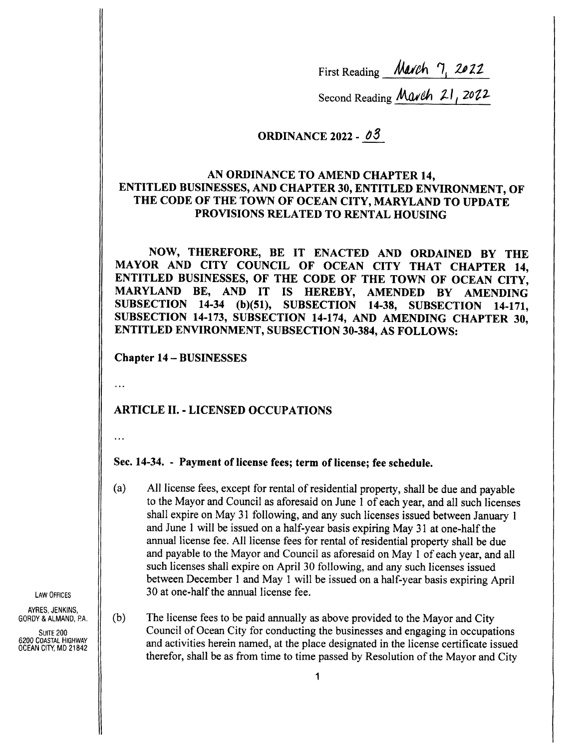First Reading *March* 7, 2022

Second Reading March 21, 2022

# ORDINANCE 2022 -  $\delta$ 3

### AN ORDINANCE TO AMEND CHAPTER 14, ENTITLED BUSINESSES, AND CHAPTER 30, ENTITLED ENVIRONMENT, OF THE CODE OF THE TOWN OF OCEAN CITY, MARYLAND TO UPDATE PROVISIONS RELATED TO RENTAL HOUSING

NOW, THEREFORE, BE IT ENACTED AND ORDAINED BY THE MAYOR AND CITY COUNCIL OF OCEAN CITY THAT CHAPTER 14, ENTITLED BUSINESSES, OF THE CODE OF THE TOWN OF OCEAN CITY, MARYLAND BE, AND IT IS HEREBY, AMENDED BY AMENDING SUBSECTION 14-34 (b)(51), SUBSECTION 14-38, SUBSECTION 14-171, SUBSECTION 14-173, SUBSECTION 14-174, AND AMENDING CHAPTER 30, ENTITLED ENVIRONMENT, SUBSECTION 30-384, AS FOLLOWS:

Chapter 14— BUSINESSES

 $\ddotsc$ 

### ARTICLE II. - LICENSED OCCUPATIONS

 $\ddotsc$ 

### Sec. 14-34. - Payment of license fees; term of license; fee schedule.

- a) All license fees, except for rental of residential property, shall be due and payable to the Mayor and Council as aforesaid on June <sup>1</sup> of each year, and all such licenses shall expire on May 31 following, and any such licenses issued between January <sup>1</sup> and June <sup>1</sup> will be issued on a half-year basis expiring May 31 at one- half the annual license fee. All license fees for rental of residential property shall be due and payable to the Mayor and Council as aforesaid on May <sup>1</sup> of each year, and all such licenses shall expire on April 30 following, and any such licenses issued between December <sup>1</sup> and May <sup>1</sup> will be issued on a half-year basis expiring April  $\Box$  LAW OFFICES  $\parallel$  30 at one-half the annual license fee.
- GORDY & ALMAND, PA.  $\|$  (b) The license fees to be paid annually as above provided to the Mayor and City SUITE 200 COUNCIL Of Ocean City for conducting the businesses and engaging in occupations<br>6200 COASTAL HIGHWAY and activities herein named at the place designated in the license certificate issued 6200 COASTAL HIGHWAY and activities herein named, at the place designated in the license certificate issued  $OCEAN CINT$ , MD 21842 therefor, shall be as from time to time passed by Resolution of the Mayor and City

AYRES, JENKINS,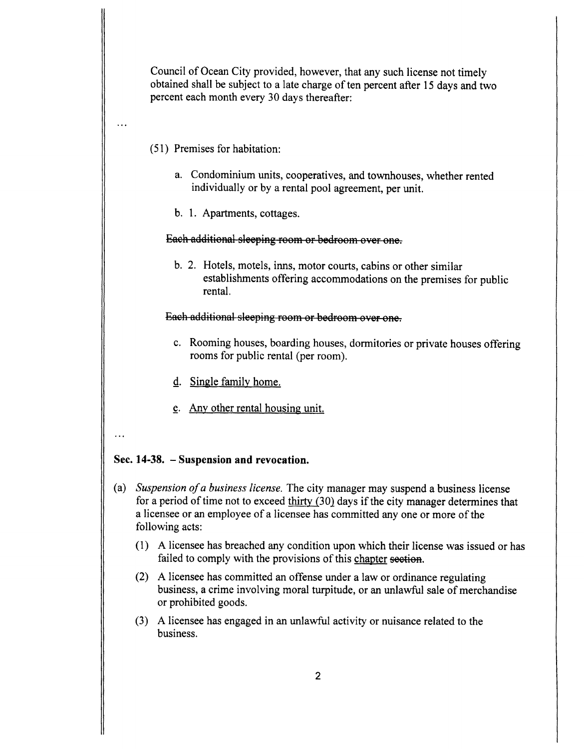Council of Ocean City provided, however, that any such license not timely obtained shall be subject to a late charge of ten percent after 15 days and two percent each month every 30 days thereafter:

- 51) Premises for habitation:
	- a. Condominium units, cooperatives, and townhouses, whether rented individually or by a rental pool agreement, per unit.
	- b. 1. Apartments, cottages.

#### Each additional sleeping room or bedroom over one.

b. 2. Hotels, motels, inns, motor courts, cabins or other similar establishments offering accommodations on the premises for public rental.

#### Each additional sleeping room or bedroom over one.

- c. Rooming houses, boarding houses, dormitories or private houses offering rooms for public rental ( per room).
- d. Single family home.
- e. Any other rental housing unit.
- $\ddotsc$

 $\ddotsc$ 

#### Sec. 14-38. - Suspension and revocation.

- (a) Suspension of a business license. The city manager may suspend a business license for a period of time not to exceed thirty  $(30)$  days if the city manager determines that <sup>a</sup> licensee or an employee of <sup>a</sup> licensee has committed any one or more of the following acts:
	- 1) A licensee has breached any condition upon which their license was issued or has failed to comply with the provisions of this chapter section.
	- 2) A licensee has committed an offense under <sup>a</sup> law or ordinance regulating business, a crime involving moral turpitude, or an unlawful sale of merchandise or prohibited goods.
	- 3) A licensee has engaged in an unlawful activity or nuisance related to the business.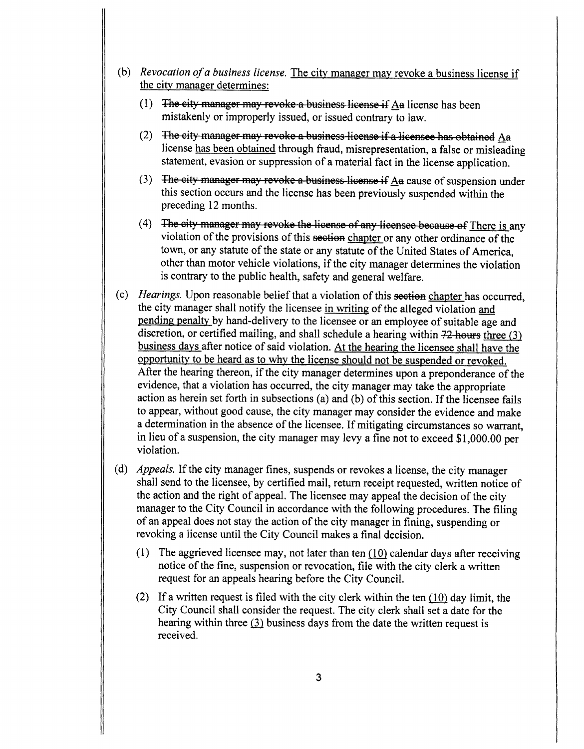- (b) Revocation of a business license. The city manager may revoke a business license if the city manager determines:
	- $(1)$  The eity manager may revoke a business license if Aa license has been mistakenly or improperly issued, or issued contrary to law.
	- (2) The city manager may revoke a business license if a licensee has obtained  $Aa$ license has been obtained through fraud, misrepresentation, a false or misleading statement, evasion or suppression of <sup>a</sup> material fact in the license application.
	- (3)  $\overline{a}$  The eity manager may revoke a business license if A a cause of suspension under this section occurs and the license has been previously suspended within the preceding 12 months.
	- 4) The eity manager may revoke the license of any licensee because of There is any violation of the provisions of this section chapter or any other ordinance of the town, or any statute of the state or any statute of the United States of America. other than motor vehicle violations, if the city manager determines the violation is contrary to the public health, safety and general welfare.
- c) Hearings. Upon reasonable belief that a violation of this section chapter has occurred, the city manager shall notify the licensee in writing of the alleged violation and pending penalty by hand- delivery to the licensee or an employee of suitable age and discretion, or certified mailing, and shall schedule a hearing within  $72$  hours three (3) business days after notice of said violation. At the hearing the licensee shall have the opportunity to be heard as to why the license should not be suspended or revoked. After the hearing thereon, if the city manager determines upon <sup>a</sup> preponderance of the evidence, that <sup>a</sup> violation has occurred, the city manager may take the appropriate action as herein set forth in subsections (a) and (b) of this section. If the licensee fails to appear, without good cause, the city manager may consider the evidence and make <sup>a</sup> determination in the absence of the licensee. If mitigating circumstances so warrant, in lieu of a suspension, the city manager may levy a fine not to exceed \$1,000.00 per violation.
- d) Appeals. If the city manager fines, suspends or revokes <sup>a</sup> license, the city manager shall send to the licensee, by certified mail, return receipt requested, written notice of the action and the right of appeal. The licensee may appeal the decision of the city manager to the City Council in accordance with the following procedures. The filing of an appeal does not stay the action of the city manager in fining, suspending or revoking a license until the City Council makes a final decision.
	- (1) The aggrieved licensee may, not later than ten  $(10)$  calendar days after receiving notice of the fine, suspension or revocation, file with the city clerk <sup>a</sup> written request for an appeals hearing before the City Council.
	- (2) If a written request is filed with the city clerk within the ten  $(10)$  day limit, the City Council shall consider the request. The city clerk shall set a date for the hearing within three (3) business days from the date the written request is received.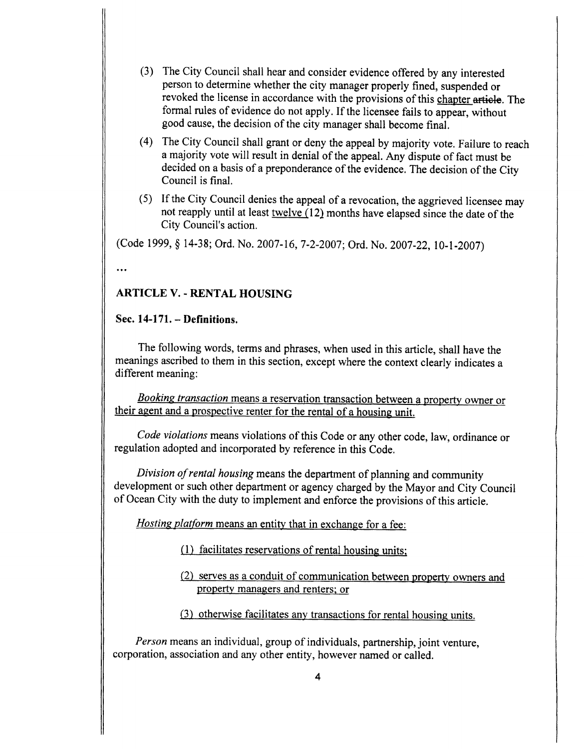- 3) The City Council shall hear and consider evidence offered by any interested person to determine whether the city manager properly fined, suspended or revoked the license in accordance with the provisions of this chapter article. The formal rules of evidence do not apply. If the licensee fails to appear, without good cause, the decision of the city manager shall become final.
- 4) The City Council shall grant or deny the appeal by majority vote. Failure to reach <sup>a</sup> majority vote will result in denial of the appeal. Any dispute of fact must be decided on <sup>a</sup> basis of <sup>a</sup> preponderance of the evidence. The decision of the City Council is final.
- 5) If the City Council denies the appeal of <sup>a</sup> revocation, the aggrieved licensee may not reapply until at least twelve  $(12)$  months have elapsed since the date of the City Council's action.

(Code 1999, § 14-38; Ord. No. 2007-16, 7-2-2007; Ord. No. 2007-22, 10-1-2007)

 $\ddotsc$ 

# ARTICLE V. - RENTAL HOUSING

# Sec.  $14-171.$  - Definitions.

The following words, terms and phrases, when used in this article, shall have the meanings ascribed to them in this section, except where the context clearly indicates a different meaning:

**Booking transaction means a reservation transaction between a property owner or** their agent and <sup>a</sup> prospective renter for the rental of <sup>a</sup> housing unit.

Code violations means violations of this Code or any other code, law, ordinance or regulation adopted and incorporated by reference in this Code.

Division of rental housing means the department of planning and community development or such other department or agency charged by the Mayor and City Council of Ocean City with the duty to implement and enforce the provisions of this article.

Hosting platform means an entity that in exchange for a fee:

- 1) facilitates reservations of rental housing units;
- 2) serves as <sup>a</sup> conduit of communication between property owners and property managers and renters; or
- 3) otherwise facilitates any transactions for rental housing units.

Person means an individual, group of individuals, partnership, joint venture, corporation, association and any other entity, however named or called.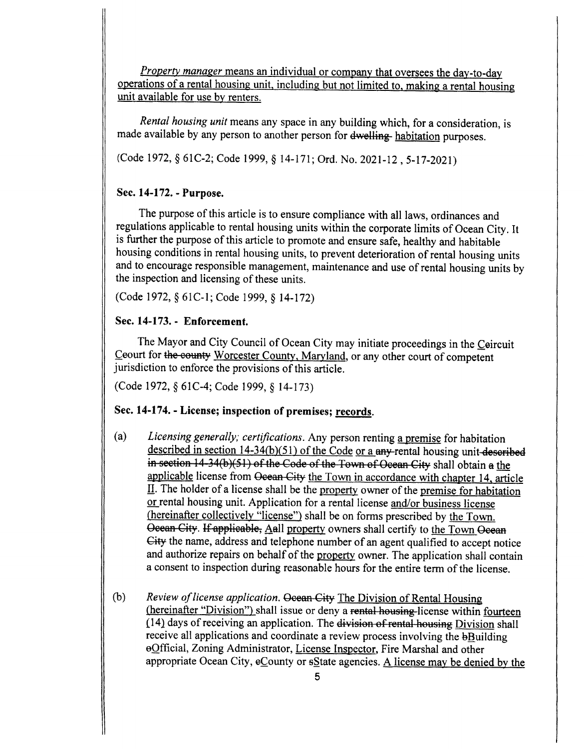Property manager means an individual or company that oversees the day-to-day operations of a rental housing unit, including but not limited to, making a rental housing unit available for use by renters.

Rental housing unit means any space in any building which, for a consideration, is made available by any person to another person for dwelling- habitation purposes.

(Code 1972, § 61C-2; Code 1999, § 14-171; Ord. No. 2021-12, 5-17-2021)

#### Sec. 14-172. - Purpose.

The purpose of this article is to ensure compliance with all laws, ordinances and regulations applicable to rental housing units within the corporate limits of Ocean City. It is further the purpose of this article to promote and ensure safe, healthy and habitable housing conditions in rental housing units, to prevent deterioration of rental housing units and to encourage responsible management, maintenance and use of rental housing units by the inspection and licensing of these units.

Code 1972, § 61C- 1; Code 1999, § 14- 172)

#### Sec. 14-173. - Enforcement.

The Mayor and City Council of Ocean City may initiate proceedings in the Ceircuit Ceourt for the county Worcester County, Maryland, or any other court of competent jurisdiction to enforce the provisions of this article.

(Code 1972, § 61C-4; Code 1999, § 14-173)

#### Sec. 14-174. - License; inspection of premises; records.

- a) Licensing generally; certifications. Any person renting <sup>a</sup> premise for habitation described in section  $14-34(b)(51)$  of the Code or a any-rental housing unit-described in section 14-34(b)(51) of the Code of the Town of Ocean City shall obtain a the applicable license from Ocean City the Town in accordance with chapter 14, article II. The holder of <sup>a</sup> license shall be the property owner of the premise for habitation or rental housing unit. Application for a rental license and/or business license (hereinafter collectively "license") shall be on forms prescribed by the Town. Ocean City. If applicable, Aall property owners shall certify to the Town Ocean Gity the name, address and telephone number of an agent qualified to accept notice and authorize repairs on behalf of the property owner. The application shall contain a consent to inspection during reasonable hours for the entire term of the license.
- b) Review of license application. Ocean City The Division of Rental Housing (hereinafter "Division") shall issue or deny a rental-housing-license within fourteen  $(14)$  days of receiving an application. The division of rental housing Division shall receive all applications and coordinate a review process involving the best building eOfficial, Zoning Administrator, License Inspector, Fire Marshal and other appropriate Ocean City,  $e$ County or  $s$ State agencies. A license may be denied by the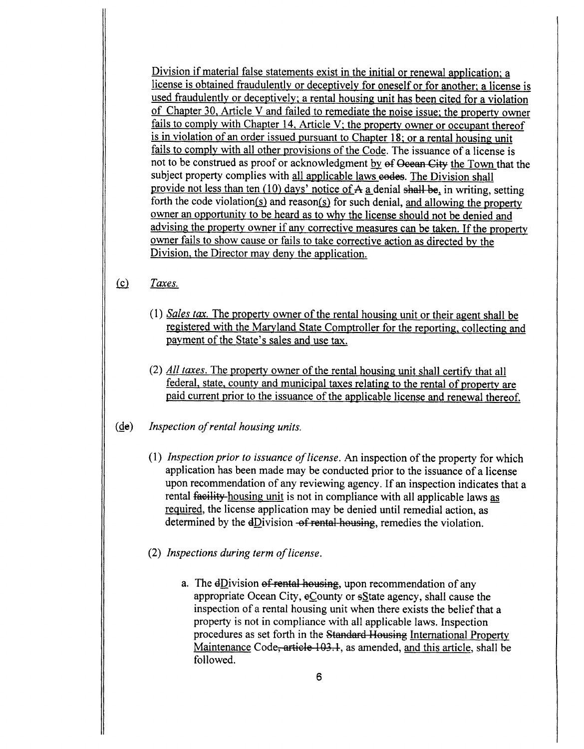Division if material false statements exist in the initial or renewal application; a license is obtained fraudulently or deceptively for oneself or for another; a license is used fraudulently or deceptively; a rental housing unit has been cited for a violation of Chapter 30, Article V and failed to remediate the noise issue; the property owner fails to comply with Chapter 14, Article V; the property owner or occupant thereof is in violation of an order issued pursuant to Chapter 18; or a rental housing unit fails to comply with all other provisions of the Code. The issuance of <sup>a</sup> license is not to be construed as proof or acknowledgment by of Ocean City the Town that the subject property complies with all applicable laws eodes. The Division shall provide not less than ten  $(10)$  days' notice of A a denial shall be, in writing, setting forth the code violation( $s$ ) and reason( $s$ ) for such denial, and allowing the property owner an opportunity to be heard as to why the license should not be denied and advising the property owner if any corrective measures can be taken. If the property owner fails to show cause or fails to take corrective action as directed by the Division, the Director may deny the application.

### $f(c)$  Taxes.

- 1) Sales tax. The property owner of the rental housing unit or their agent shall be registered with the Maryland State Comptroller for the reporting, collecting and payment of the State's sales and use tax.
- 2) All taxes. The property owner of the rental housing unit shall certify that all federal, state, county and municipal taxes relating to the rental of property are paid current prior to the issuance of the applicable license and renewal thereof.

# de) Inspection ofrental housing units.

- 1) Inspection prior to issuance of license. An inspection of the property for which application has been made may be conducted prior to the issuance of a license upon recommendation of any reviewing agency. If an inspection indicates that <sup>a</sup> rental facility-housing unit is not in compliance with all applicable laws as required, the license application may be denied until remedial action, as determined by the  $dDivision-*of rental housing*, *remedes the violation*.$
- (2) Inspections during term of license.
	- a. The  $dDivision$  of rental-housing, upon recommendation of any appropriate Ocean City, eCounty or state agency, shall cause the inspection of <sup>a</sup> rental housing unit when there exists the belief that <sup>a</sup> property is not in compliance with all applicable laws. Inspection procedures as set forth in the Standard Housing International Property Maintenance Code, article 103.1, as amended, and this article, shall be followed.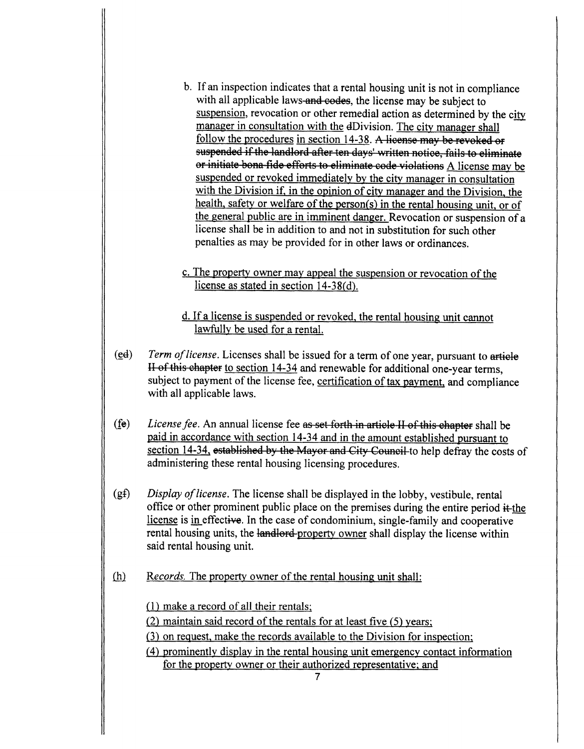- b. If an inspection indicates that <sup>a</sup> rental housing unit is not in compliance with all applicable laws-and-codes, the license may be subject to suspension, revocation or other remedial action as determined by the city manager in consultation with the dDivision. The city manager shall follow the procedures in section 14-38. A license may be revoked or suspended if the landlord after ten days' written notice, fails to eliminate or initiate bona fide efforts to eliminate code violations A license may be suspended or revoked immediately by the city manager in consultation with the Division if, in the opinion of city manager and the Division, the health, safety or welfare of the person( $s$ ) in the rental housing unit, or of the general public are in imminent danger. Revocation or suspension of <sup>a</sup> license shall be in addition to and not in substitution for such other penalties as may be provided for in other laws or ordinances.
- c. The property owner may appeal the suspension or revocation of the license as stated in section  $14-38(d)$ .

d. If <sup>a</sup> license is suspended or revoked, the rental housing unit cannot lawfully be used for a rental.

- $(e<sub>d</sub>)$  Term of license. Licenses shall be issued for a term of one year, pursuant to article II of this chapter to section 14-34 and renewable for additional one-year terms, subject to payment of the license fee, certification of tax payment, and compliance with all applicable laws.
- $f(\text{fe})$  License fee. An annual license fee as set forth in article II of this chapter shall be paid in accordance with section 14- 34 and in the amount established pursuant to section 14-34, established by the Mayor and City Council to help defray the costs of administering these rental housing licensing procedures.
- $(gf)$  Display of license. The license shall be displayed in the lobby, vestibule, rental office or other prominent public place on the premises during the entire period  $\ddot{\text{t}}$ -the license is in effective. In the case of condominium, single-family and cooperative rental housing units, the landlord-property owner shall display the license within said rental housing unit.
- $(h)$  Records. The property owner of the rental housing unit shall:

1) make a record of all their rentals;

 $(2)$  maintain said record of the rentals for at least five  $(5)$  years;

- 3) on request, make the records available to the Division for inspection;
- 4) prominently display in the rental housing unit emergency contact information for the property owner or their authorized representative; and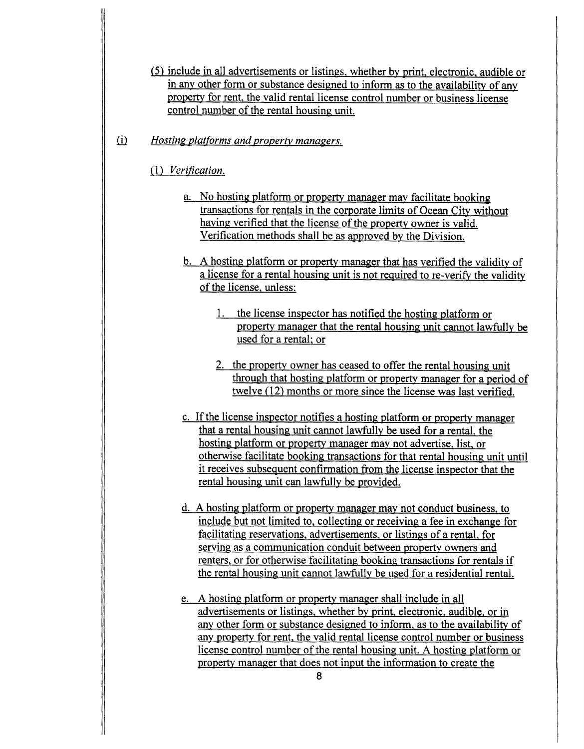- 5) include in all advertisements or listings, whether by print, electronic, audible or in any other form or substance designed to inform as to the availability of any property for rent, the valid rental license control number or business license control number of the rental housing unit.
- $(i)$  Hosting platforms and property managers.

### 1) Verification.

- a. No hosting platform or property manager may facilitate booking transactions for rentals in the corporate limits of Ocean City without having verified that the license of the property owner is valid. Verification methods shall be as approved by the Division.
- b. A hosting platform or property manager that has verified the validity of <sup>a</sup> license for a rental housing unit is not required to re- verify the validity of the license, unless:
	- 1. the license inspector has notified the hosting platform or property manager that the rental housing unit cannot lawfully be used for a rental; or
	- 2. the property owner has ceased to offer the rental housing unit through that hosting platform or property manager for a period of twelve (12) months or more since the license was last verified.
- c. If the license inspector notifies <sup>a</sup> hosting platform or property manager that <sup>a</sup> rental housing unit cannot lawfully be used for a rental, the hosting platform or property manager may not advertise, list, or otherwise facilitate booking transactions for that rental housing unit until it receives subsequent confirmation from the license inspector that the rental housing unit can lawfully be provided.
- d. A hosting platform or property manager may not conduct business, to include but not limited to, collecting or receiving a fee in exchange for facilitating reservations, advertisements, or listings of <sup>a</sup> rental, for serving as a communication conduit between property owners and renters, or for otherwise facilitating booking transactions for rentals if the rental housing unit cannot lawfully be used for a residential rental.
- e. A hosting platform or property manager shall include in all advertisements or listings, whether by print, electronic, audible, or in any other form or substance designed to inform, as to the availability of any property for rent, the valid rental license control number or business license control number of the rental housing unit. A hosting platform or property manager that does not input the information to create the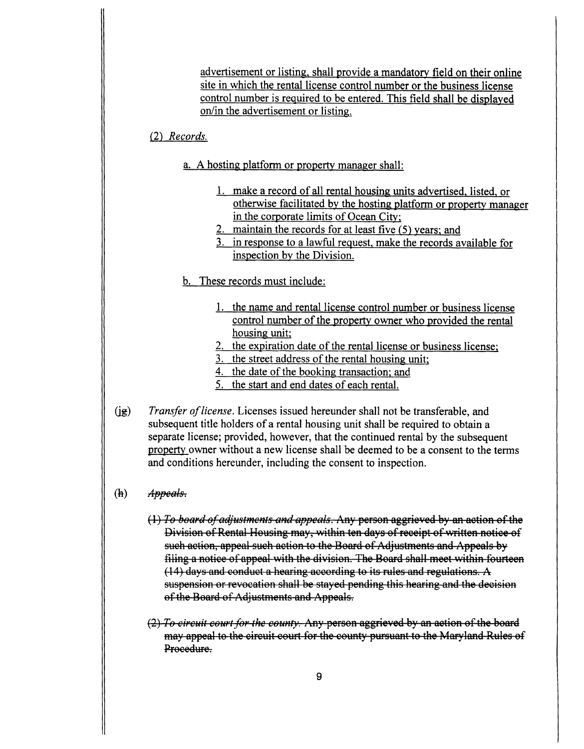advertisement or listing, shall provide a mandatory field on their online site in which the rental license control number or the business license control number is required to be entered. This field shall be displayed on/in the advertisement or listing.

### 2) Records.

- a. A hosting platform or property manager shall:
	- 1. make a record of all rental housing units advertised, listed, or otherwise facilitated by the hosting platform or property manager in the corporate limits of Ocean City;
	- 2. maintain the records for at least five  $(5)$  years; and
	- 3. in response to a lawful request, make the records available for inspection by the Division.
- b. These records must include:
	- 1. the name and rental license control number or business license control number of the property owner who provided the rental housing unit;
	- 2. the expiration date of the rental license or business license;
	- 3. the street address of the rental housing unit;
	- 4. the date of the booking transaction; and
	- 5. the start and end dates of each rental.
- $(jg)$  Transfer of license. Licenses issued hereunder shall not be transferable, and subsequent title holders of <sup>a</sup> rental housing unit shall be required to obtain a separate license; provided, however, that the continued rental by the subsequent property owner without a new license shall be deemed to be a consent to the terms and conditions hereunder, including the consent to inspection.
- $(h)$  *Appeals.* 
	- (1) To board of adjustments and appeals. Any person aggrieved by an action of the Division of Rental Housing may, within ten days of receipt of written notice of such action, appeal such action to the Board of Adjustments and Appeals by filing a notice of appeal with the division. The Board shall meet within fourteen  $(14)$  days and conduct a hearing according to its rules and regulations. A suspension or revocation shall be stayed pending this hearing and the decision of the Board of Adjustments and Appeals.
	- (2) To circuit court for the county. Any person aggrieved by an action of the board may appeal to the circuit court for the county pursuant to the Maryland Rules of Procedure.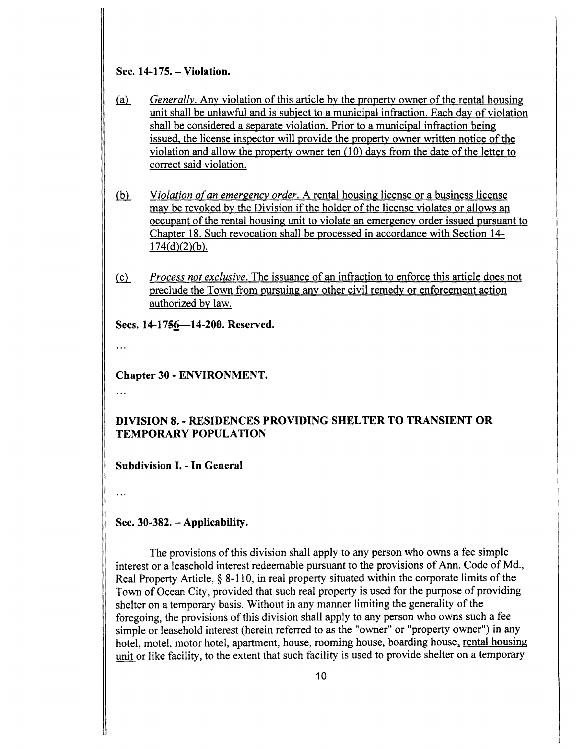# Sec. 14-175. – Violation.

- a) Generally. Any violation of this article by the property owner of the rental housing unit shall be unlawful and is subject to <sup>a</sup> municipal infraction. Each day of violation shall be considered a separate violation. Prior to a municipal infraction being issued, the license inspector will provide the property owner written notice of the violation and allow the property owner ten ( 10) days from the date of the letter to correct said violation.
- (b) Violation of an emergency order. A rental housing license or a business license may be revoked by the Division if the holder of the license violates or allows an occupant of the rental housing unit to violate an emergency order issued pursuant to Chapter 18. Such revocation shall be processed in accordance with Section 14-  $174(d)(2)(b)$ .
- (c) Process not exclusive. The issuance of an infraction to enforce this article does not preclude the Town from pursuing any other civil remedy or enforcement action authorized by law.

Secs. 14-1756-14-200. Reserved.

 $\dddot{\phantom{0}}$ 

Chapter 30 - ENVIRONMENT.

 $\dddotsc$ 

# DIVISION 8. - RESIDENCES PROVIDING SHELTER TO TRANSIENT OR TEMPORARY POPULATION

Subdivision I. - In General

 $\ddotsc$ 

Sec.  $30-382$ . – Applicability.

The provisions of this division shall apply to any person who owns <sup>a</sup> fee simple interest or <sup>a</sup> leasehold interest redeemable pursuant to the provisions of Ann. Code of Md., Real Property Article,  $\S$  8-110, in real property situated within the corporate limits of the Town of Ocean City, provided that such real property is used for the purpose of providing shelter on a temporary basis. Without in any manner limiting the generality of the foregoing, the provisions of this division shall apply to any person who owns such a fee simple or leasehold interest (herein referred to as the "owner" or "property owner") in any hotel, motel, motor hotel, apartment, house, rooming house, boarding house, rental housing unit or like facility, to the extent that such facility is used to provide shelter on <sup>a</sup> temporary